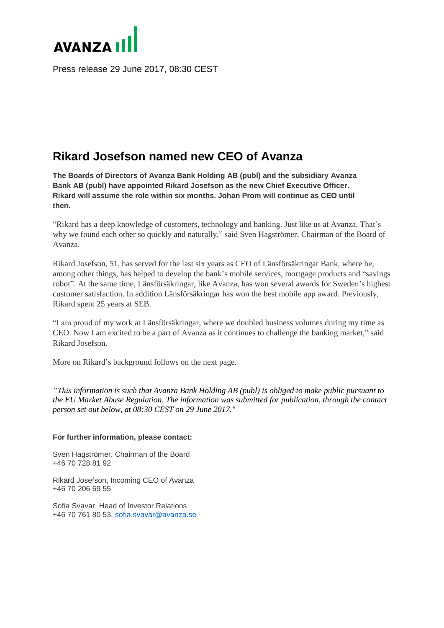

Press release 29 June 2017, 08:30 CEST

## **Rikard Josefson named new CEO of Avanza**

**The Boards of Directors of Avanza Bank Holding AB (publ) and the subsidiary Avanza Bank AB (publ) have appointed Rikard Josefson as the new Chief Executive Officer. Rikard will assume the role within six months. Johan Prom will continue as CEO until then.**

"Rikard has a deep knowledge of customers, technology and banking. Just like us at Avanza. That's why we found each other so quickly and naturally," said Sven Hagströmer, Chairman of the Board of Avanza.

Rikard Josefson, 51, has served for the last six years as CEO of Länsförsäkringar Bank, where he, among other things, has helped to develop the bank's mobile services, mortgage products and "savings robot". At the same time, Länsförsäkringar, like Avanza, has won several awards for Sweden's highest customer satisfaction. In addition Länsförsäkringar has won the best mobile app award. Previously, Rikard spent 25 years at SEB.

"I am proud of my work at Länsförsäkringar, where we doubled business volumes during my time as CEO. Now I am excited to be a part of Avanza as it continues to challenge the banking market," said Rikard Josefson.

More on Rikard's background follows on the next page.

*"This information is such that Avanza Bank Holding AB (publ) is obliged to make public pursuant to the EU Market Abuse Regulation. The information was submitted for publication, through the contact person set out below, at 08:30 CEST on 29 June 2017."*

## **For further information, please contact:**

Sven Hagströmer, Chairman of the Board +46 70 728 81 92

Rikard Josefson, Incoming CEO of Avanza +46 70 206 69 55

Sofia Svavar, Head of Investor Relations +46 70 761 80 53, [sofia.svavar@avanza.se](mailto:sofia.svavar@avanza.se)